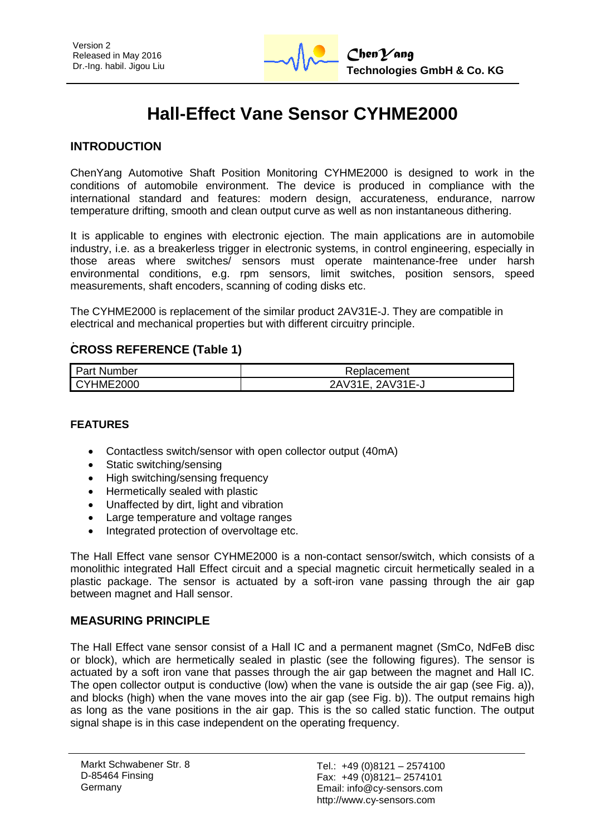

# **Hall-Effect Vane Sensor CYHME2000**

### **INTRODUCTION**

ChenYang Automotive Shaft Position Monitoring CYHME2000 is designed to work in the conditions of automobile environment. The device is produced in compliance with the international standard and features: modern design, accurateness, endurance, narrow temperature drifting, smooth and clean output curve as well as non instantaneous dithering.

It is applicable to engines with electronic ejection. The main applications are in automobile industry, i.e. as a breakerless trigger in electronic systems, in control engineering, especially in those areas where switches/ sensors must operate maintenance-free under harsh environmental conditions, e.g. rpm sensors, limit switches, position sensors, speed measurements, shaft encoders, scanning of coding disks etc.

The CYHME2000 is replacement of the similar product 2AV31E-J. They are compatible in electrical and mechanical properties but with different circuitry principle.

### **CROSS REFERENCE (Table 1)**

| <b>Part Number</b> | Replacement      |
|--------------------|------------------|
| CYHME2000          | 2AV31E, 2AV31E-J |

#### **FEATURES**

- Contactless switch/sensor with open collector output (40mA)
- Static switching/sensing
- High switching/sensing frequency
- Hermetically sealed with plastic
- Unaffected by dirt, light and vibration
- Large temperature and voltage ranges
- Integrated protection of overvoltage etc.

The Hall Effect vane sensor CYHME2000 is a non-contact sensor/switch, which consists of a monolithic integrated Hall Effect circuit and a special magnetic circuit hermetically sealed in a plastic package. The sensor is actuated by a soft-iron vane passing through the air gap between magnet and Hall sensor.

#### **MEASURING PRINCIPLE**

The Hall Effect vane sensor consist of a Hall IC and a permanent magnet (SmCo, NdFeB disc or block), which are hermetically sealed in plastic (see the following figures). The sensor is actuated by a soft iron vane that passes through the air gap between the magnet and Hall IC. The open collector output is conductive (low) when the vane is outside the air gap (see Fig. a)), and blocks (high) when the vane moves into the air gap (see Fig. b)). The output remains high as long as the vane positions in the air gap. This is the so called static function. The output signal shape is in this case independent on the operating frequency.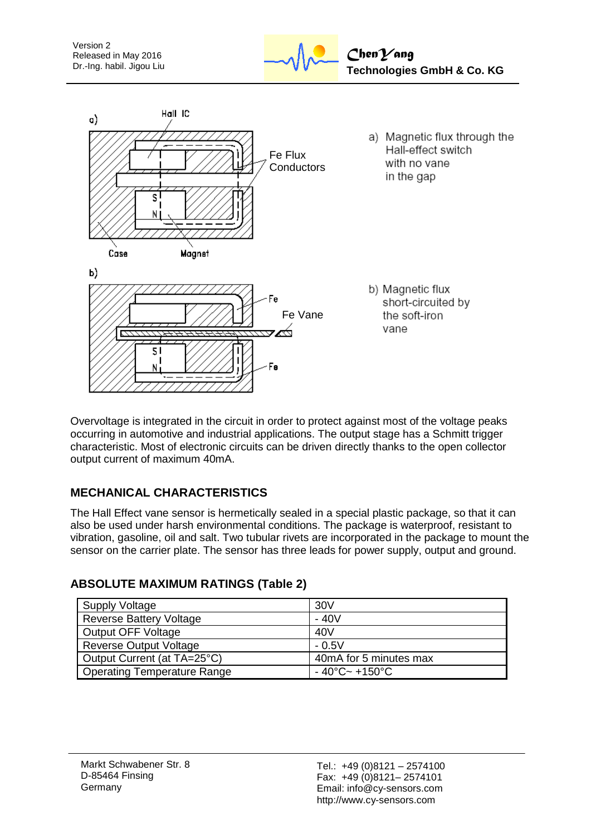



Overvoltage is integrated in the circuit in order to protect against most of the voltage peaks occurring in automotive and industrial applications. The output stage has a Schmitt trigger characteristic. Most of electronic circuits can be driven directly thanks to the open collector output current of maximum 40mA.

# **MECHANICAL CHARACTERISTICS**

The Hall Effect vane sensor is hermetically sealed in a special plastic package, so that it can also be used under harsh environmental conditions. The package is waterproof, resistant to vibration, gasoline, oil and salt. Two tubular rivets are incorporated in the package to mount the sensor on the carrier plate. The sensor has three leads for power supply, output and ground.

| Supply Voltage                 | 30V                                      |
|--------------------------------|------------------------------------------|
| <b>Reverse Battery Voltage</b> | $-40V$                                   |
| Output OFF Voltage             | 40V                                      |
| Reverse Output Voltage         | $-0.5V$                                  |
| Output Current (at TA=25°C)    | 40mA for 5 minutes max                   |
| Operating Temperature Range    | $-40^{\circ}$ C $\sim$ +150 $^{\circ}$ C |

## **ABSOLUTE MAXIMUM RATINGS (Table 2)**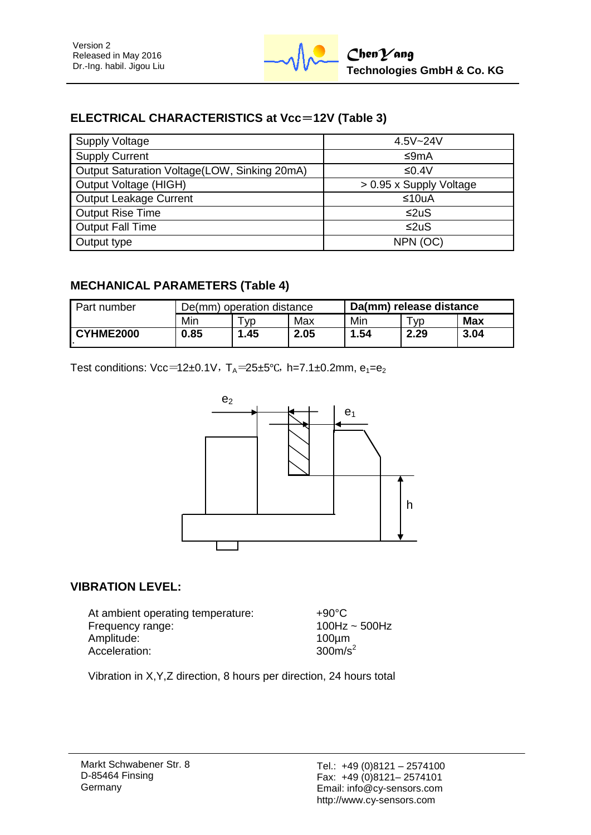# **ELECTRICAL CHARACTERISTICS at Vcc**=**12V (Table 3)**

| <b>Supply Voltage</b>                        | $4.5V - 24V$            |
|----------------------------------------------|-------------------------|
| <b>Supply Current</b>                        | ≤9mA                    |
| Output Saturation Voltage(LOW, Sinking 20mA) | ≤0.4V                   |
| Output Voltage (HIGH)                        | > 0.95 x Supply Voltage |
| Output Leakage Current                       | ≤10uA                   |
| <b>Output Rise Time</b>                      | ≤2uS                    |
| <b>Output Fall Time</b>                      | ≤2uS                    |
| Output type                                  | NPN (OC)                |

## **MECHANICAL PARAMETERS (Table 4)**

| Part number | De(mm) operation distance |     |      | Da(mm) release distance |           |            |
|-------------|---------------------------|-----|------|-------------------------|-----------|------------|
|             | Min                       | VD  | Max  | Min                     | <b>VD</b> | <b>Max</b> |
| CYHME2000   | 0.85                      | .45 | 2.05 | 1.54                    | 2.29      | 3.04       |

Test conditions: Vcc=12±0.1V, T<sub>A</sub>=25±5°C, h=7.1±0.2mm,  $e_1 = e_2$ 



## **VIBRATION LEVEL:**

At ambient operating temperature: +90°C Frequency range: 100Hz ~ 500Hz Amplitude: 100µm<br>Acceleration: 100µm<br>300m/s<sup>2</sup> Acceleration:

Vibration in X,Y,Z direction, 8 hours per direction, 24 hours total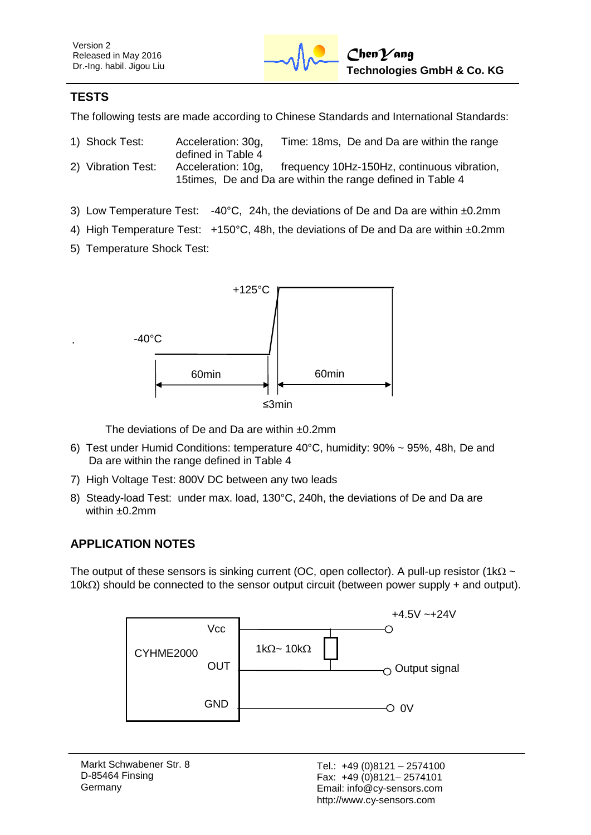## **TESTS**

The following tests are made according to Chinese Standards and International Standards:

| 1) Shock Test:     | Acceleration: 30g, | Time: 18ms, De and Da are within the range                  |
|--------------------|--------------------|-------------------------------------------------------------|
|                    | defined in Table 4 |                                                             |
| 2) Vibration Test: | Acceleration: 10g, | frequency 10Hz-150Hz, continuous vibration,                 |
|                    |                    | 15 times, De and Da are within the range defined in Table 4 |

- 3) Low Temperature Test: -40°C, 24h, the deviations of De and Da are within ±0.2mm
- 4) High Temperature Test: +150°C, 48h, the deviations of De and Da are within ±0.2mm
- 5) Temperature Shock Test:



The deviations of De and Da are within ±0.2mm

- 6) Test under Humid Conditions: temperature 40°C, humidity: 90% ~ 95%, 48h, De and Da are within the range defined in Table 4
- 7) High Voltage Test: 800V DC between any two leads
- 8) Steady-load Test: under max. load, 130°C, 240h, the deviations of De and Da are within ±0.2mm

# **APPLICATION NOTES**

The output of these sensors is sinking current (OC, open collector). A pull-up resistor (1k $\Omega \sim$  $10k\Omega$ ) should be connected to the sensor output circuit (between power supply + and output).